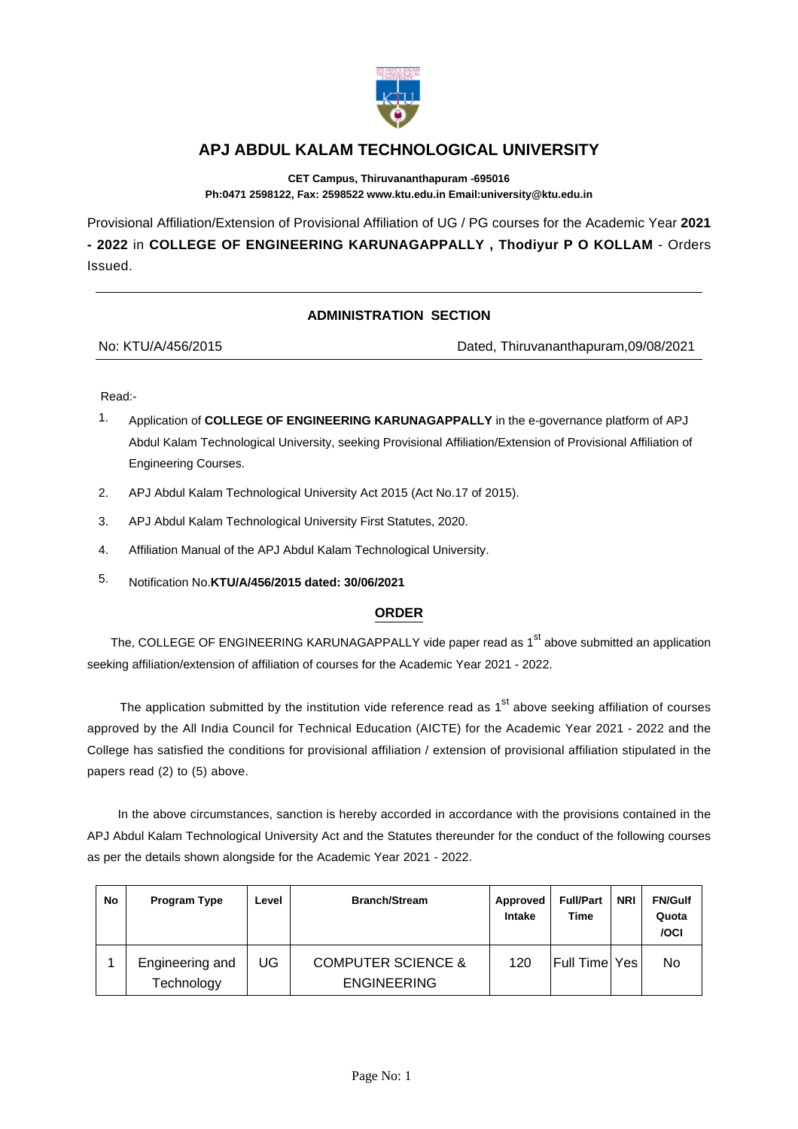

## **APJ ABDUL KALAM TECHNOLOGICAL UNIVERSITY**

**CET Campus, Thiruvananthapuram -695016 Ph:0471 2598122, Fax: 2598522 www.ktu.edu.in Email:university@ktu.edu.in**

Provisional Affiliation/Extension of Provisional Affiliation of UG / PG courses for the Academic Year **2021 - 2022** in **COLLEGE OF ENGINEERING KARUNAGAPPALLY , Thodiyur P O KOLLAM** - Orders Issued.

## **ADMINISTRATION SECTION**

| No: KTU/A/456/2015 |  |
|--------------------|--|
|                    |  |

Dated, Thiruvananthapuram,09/08/2021

Read:-

- 1. Application of **COLLEGE OF ENGINEERING KARUNAGAPPALLY** in the e-governance platform of APJ Abdul Kalam Technological University, seeking Provisional Affiliation/Extension of Provisional Affiliation of Engineering Courses.
- 2. APJ Abdul Kalam Technological University Act 2015 (Act No.17 of 2015).
- 3. APJ Abdul Kalam Technological University First Statutes, 2020.
- 4. Affiliation Manual of the APJ Abdul Kalam Technological University.
- 5. Notification No.**KTU/A/456/2015 dated: 30/06/2021**

## **ORDER**

The, COLLEGE OF ENGINEERING KARUNAGAPPALLY vide paper read as 1<sup>st</sup> above submitted an application seeking affiliation/extension of affiliation of courses for the Academic Year 2021 - 2022.

The application submitted by the institution vide reference read as  $1<sup>st</sup>$  above seeking affiliation of courses approved by the All India Council for Technical Education (AICTE) for the Academic Year 2021 - 2022 and the College has satisfied the conditions for provisional affiliation / extension of provisional affiliation stipulated in the papers read (2) to (5) above.

 In the above circumstances, sanction is hereby accorded in accordance with the provisions contained in the APJ Abdul Kalam Technological University Act and the Statutes thereunder for the conduct of the following courses as per the details shown alongside for the Academic Year 2021 - 2022.

| No | <b>Program Type</b>           | ∟evel | <b>Branch/Stream</b>                                | Approved<br>Intake | <b>Full/Part</b><br>Time | <b>NRI</b> | <b>FN/Gulf</b><br>Quota<br>/OCI |
|----|-------------------------------|-------|-----------------------------------------------------|--------------------|--------------------------|------------|---------------------------------|
|    | Engineering and<br>Technology | UG    | <b>COMPUTER SCIENCE &amp;</b><br><b>ENGINEERING</b> | 120                | Full Time                | Yes.       | No.                             |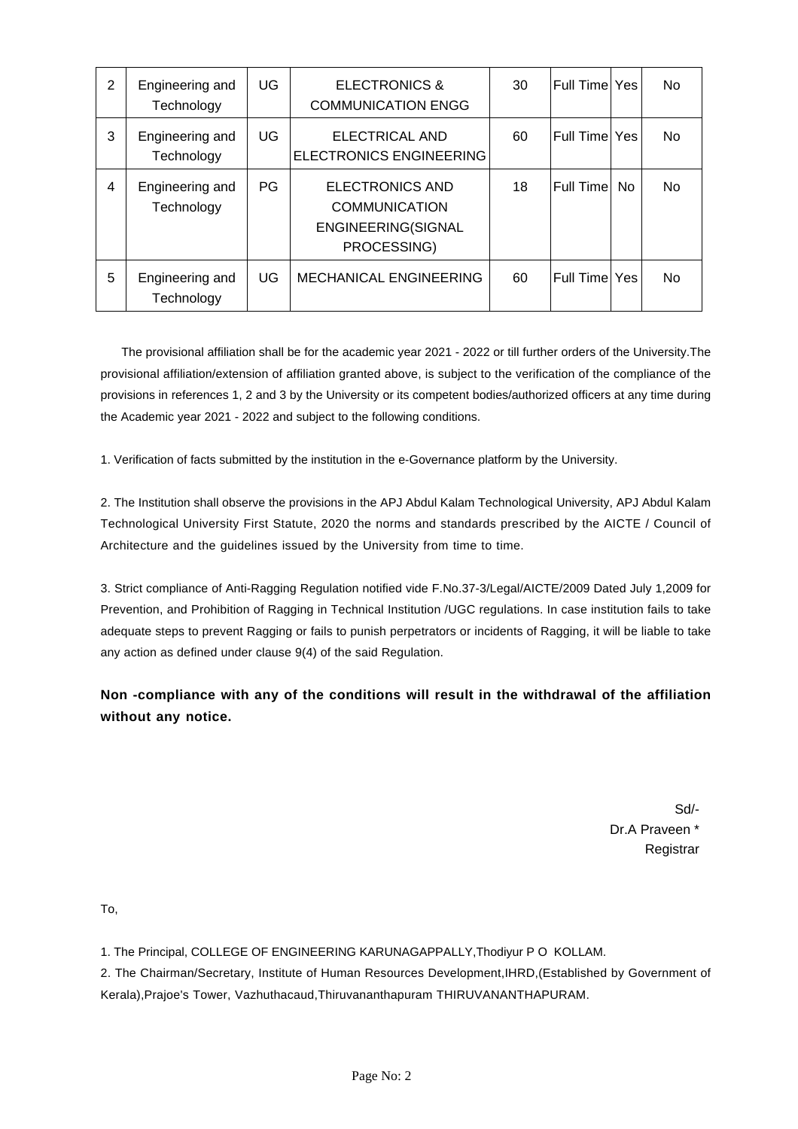| $\overline{2}$ | Engineering and<br>Technology | UG        | <b>ELECTRONICS &amp;</b><br><b>COMMUNICATION ENGG</b>                               | 30 | Full Time Yes |     | <b>No</b> |
|----------------|-------------------------------|-----------|-------------------------------------------------------------------------------------|----|---------------|-----|-----------|
| 3              | Engineering and<br>Technology | UG        | ELECTRICAL AND<br>ELECTRONICS ENGINEERING                                           | 60 | Full Time Yes |     | <b>No</b> |
| 4              | Engineering and<br>Technology | <b>PG</b> | <b>ELECTRONICS AND</b><br><b>COMMUNICATION</b><br>ENGINEERING(SIGNAL<br>PROCESSING) | 18 | Full Time     | No. | <b>No</b> |
| 5              | Engineering and<br>Technology | UG        | MECHANICAL ENGINEERING                                                              | 60 | Full Time Yes |     | <b>No</b> |

 The provisional affiliation shall be for the academic year 2021 - 2022 or till further orders of the University.The provisional affiliation/extension of affiliation granted above, is subject to the verification of the compliance of the provisions in references 1, 2 and 3 by the University or its competent bodies/authorized officers at any time during the Academic year 2021 - 2022 and subject to the following conditions.

1. Verification of facts submitted by the institution in the e-Governance platform by the University.

2. The Institution shall observe the provisions in the APJ Abdul Kalam Technological University, APJ Abdul Kalam Technological University First Statute, 2020 the norms and standards prescribed by the AICTE / Council of Architecture and the guidelines issued by the University from time to time.

3. Strict compliance of Anti-Ragging Regulation notified vide F.No.37-3/Legal/AICTE/2009 Dated July 1,2009 for Prevention, and Prohibition of Ragging in Technical Institution /UGC regulations. In case institution fails to take adequate steps to prevent Ragging or fails to punish perpetrators or incidents of Ragging, it will be liable to take any action as defined under clause 9(4) of the said Regulation.

**Non -compliance with any of the conditions will result in the withdrawal of the affiliation without any notice.**

> Sd/- Dr.A Praveen \* Registrar

To,

1. The Principal, COLLEGE OF ENGINEERING KARUNAGAPPALLY,Thodiyur P O KOLLAM.

2. The Chairman/Secretary, Institute of Human Resources Development,IHRD,(Established by Government of Kerala),Prajoe's Tower, Vazhuthacaud,Thiruvananthapuram THIRUVANANTHAPURAM.